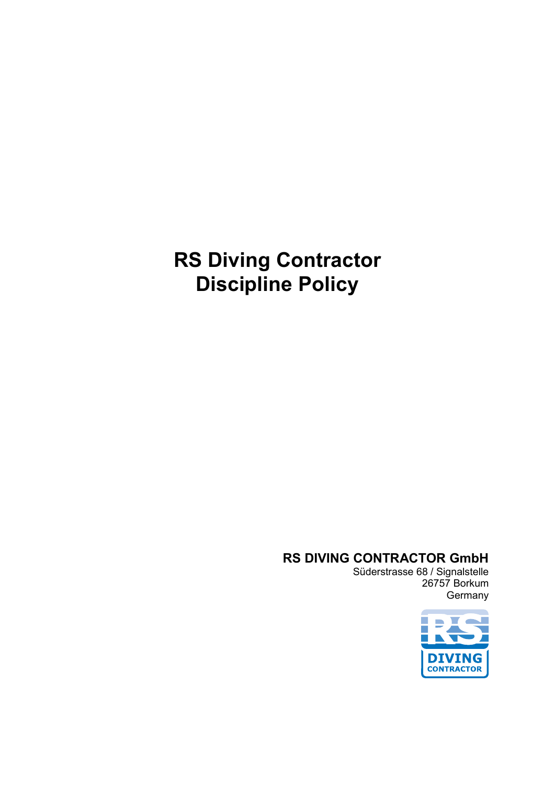# **RS Diving Contractor Discipline Policy**

#### **RS DIVING CONTRACTOR GmbH**

Süderstrasse 68 / Signalstelle 26757 Borkum **Germany** 

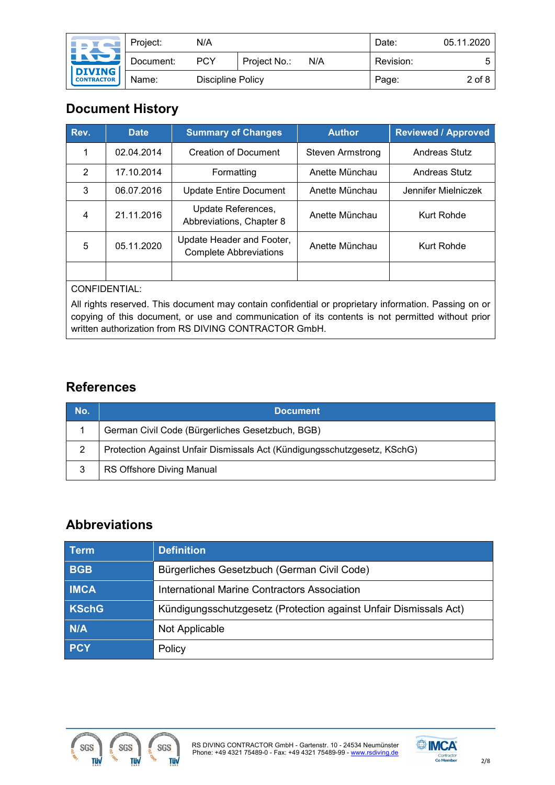| <b>IPY WE</b>                                      | Project:  | N/A               |              |     | Date:     | 05.11.2020 |
|----------------------------------------------------|-----------|-------------------|--------------|-----|-----------|------------|
| <u>LATUL</u><br><b>DIVING</b><br><b>CONTRACTOR</b> | Document: | <b>PCY</b>        | Project No.: | N/A | Revision: | 5          |
|                                                    | Name:     | Discipline Policy |              |     | Page:     | $2$ of 8   |

# **Document History**

| Rev. | <b>Date</b> | <b>Summary of Changes</b>                                  | <b>Author</b>    | <b>Reviewed / Approved</b> |  |
|------|-------------|------------------------------------------------------------|------------------|----------------------------|--|
|      | 02.04.2014  | <b>Creation of Document</b>                                | Steven Armstrong | Andreas Stutz              |  |
| 2    | 17.10.2014  | Formatting                                                 | Anette Münchau   | Andreas Stutz              |  |
| 3    | 06.07.2016  | <b>Update Entire Document</b>                              | Anette Münchau   | Jennifer Mielniczek        |  |
| 4    | 21.11.2016  | Update References,<br>Abbreviations, Chapter 8             | Anette Münchau   | Kurt Rohde                 |  |
| 5    | 05.11.2020  | Update Header and Footer,<br><b>Complete Abbreviations</b> | Anette Münchau   | Kurt Rohde                 |  |
|      |             |                                                            |                  |                            |  |

CONFIDENTIAL:

All rights reserved. This document may contain confidential or proprietary information. Passing on or copying of this document, or use and communication of its contents is not permitted without prior written authorization from RS DIVING CONTRACTOR GmbH.

## **References**

| No. | <b>Document</b>                                                          |
|-----|--------------------------------------------------------------------------|
|     | German Civil Code (Bürgerliches Gesetzbuch, BGB)                         |
| 2   | Protection Against Unfair Dismissals Act (Kündigungsschutzgesetz, KSchG) |
| 3   | RS Offshore Diving Manual                                                |

# **Abbreviations**

| <b>Term</b>  | <b>Definition</b>                                                 |
|--------------|-------------------------------------------------------------------|
| <b>BGB</b>   | Bürgerliches Gesetzbuch (German Civil Code)                       |
| <b>IMCA</b>  | <b>International Marine Contractors Association</b>               |
| <b>KSchG</b> | Kündigungsschutzgesetz (Protection against Unfair Dismissals Act) |
| N/A          | Not Applicable                                                    |
| <b>PCY</b>   | Policy                                                            |



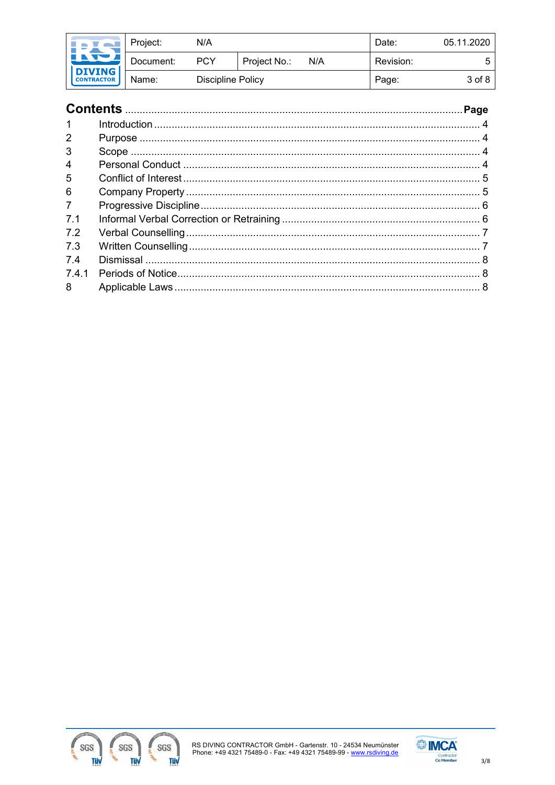| <b>NATION</b>                      | Project:  | N/A               |              |     | Date:     | 05.11.2020 |
|------------------------------------|-----------|-------------------|--------------|-----|-----------|------------|
| <u>INDI</u>                        | Document: | <b>PCY</b>        | Project No.: | N/A | Revision: | 5          |
| <b>DIVING</b><br><b>CONTRACTOR</b> | Name:     | Discipline Policy |              |     | Page:     | 3 of 8     |

| $\mathbf 1$    |  |
|----------------|--|
| 2              |  |
| 3              |  |
| 4              |  |
| 5              |  |
| 6              |  |
| $\overline{7}$ |  |
| 7.1            |  |
| 7.2            |  |
| 7.3            |  |
| 74             |  |
| 741            |  |
| 8              |  |



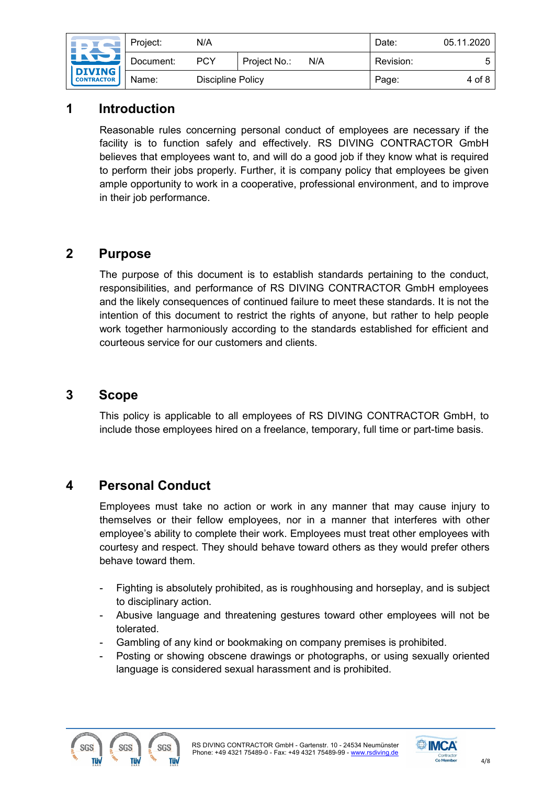| <b>INTERNATIONAL</b>                      | Project:  | N/A                      |              |     | Date:     | 05.11.2020 |
|-------------------------------------------|-----------|--------------------------|--------------|-----|-----------|------------|
| <u>int</u><br>DIVING<br><b>CONTRACTOR</b> | Document: | <b>PCY</b>               | Project No.: | N/A | Revision: |            |
|                                           | Name:     | <b>Discipline Policy</b> |              |     | Page:     | 4 of 8     |

## <span id="page-3-0"></span>**1 Introduction**

Reasonable rules concerning personal conduct of employees are necessary if the facility is to function safely and effectively. RS DIVING CONTRACTOR GmbH believes that employees want to, and will do a good job if they know what is required to perform their jobs properly. Further, it is company policy that employees be given ample opportunity to work in a cooperative, professional environment, and to improve in their job performance.

#### <span id="page-3-1"></span>**2 Purpose**

The purpose of this document is to establish standards pertaining to the conduct, responsibilities, and performance of RS DIVING CONTRACTOR GmbH employees and the likely consequences of continued failure to meet these standards. It is not the intention of this document to restrict the rights of anyone, but rather to help people work together harmoniously according to the standards established for efficient and courteous service for our customers and clients.

### <span id="page-3-2"></span>**3 Scope**

This policy is applicable to all employees of RS DIVING CONTRACTOR GmbH, to include those employees hired on a freelance, temporary, full time or part-time basis.

## <span id="page-3-3"></span>**4 Personal Conduct**

Employees must take no action or work in any manner that may cause injury to themselves or their fellow employees, nor in a manner that interferes with other employee's ability to complete their work. Employees must treat other employees with courtesy and respect. They should behave toward others as they would prefer others behave toward them.

- Fighting is absolutely prohibited, as is roughhousing and horseplay, and is subject to disciplinary action.
- Abusive language and threatening gestures toward other employees will not be tolerated.
- Gambling of any kind or bookmaking on company premises is prohibited.
- Posting or showing obscene drawings or photographs, or using sexually oriented language is considered sexual harassment and is prohibited.



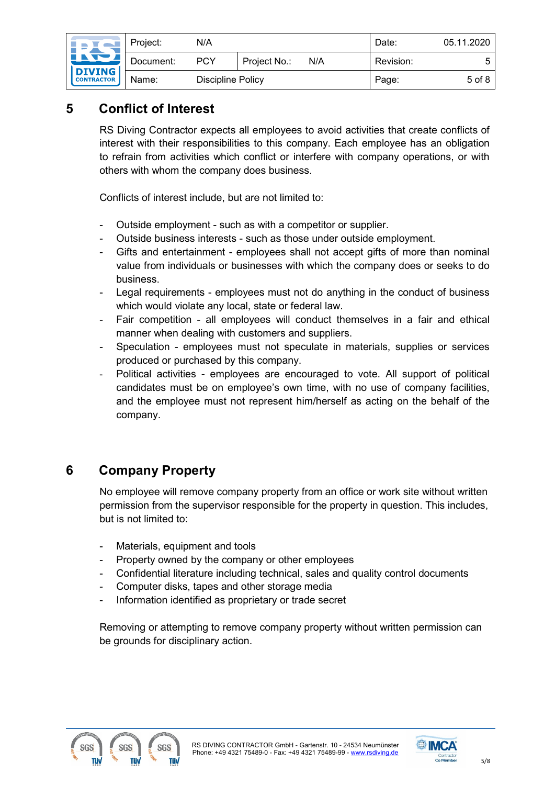| <b>In Tal</b>                                     |           | Project:          | N/A          |     |           | Date:  | 05.11.2020 |
|---------------------------------------------------|-----------|-------------------|--------------|-----|-----------|--------|------------|
| <u>INDI</u><br><b>DIVING</b><br><b>CONTRACTOR</b> | Document: | <b>PCY</b>        | Project No.: | N/A | Revision: |        |            |
|                                                   | Name:     | Discipline Policy |              |     | Page:     | 5 of 8 |            |

## <span id="page-4-0"></span>**5 Conflict of Interest**

RS Diving Contractor expects all employees to avoid activities that create conflicts of interest with their responsibilities to this company. Each employee has an obligation to refrain from activities which conflict or interfere with company operations, or with others with whom the company does business.

Conflicts of interest include, but are not limited to:

- Outside employment such as with a competitor or supplier.
- Outside business interests such as those under outside employment.
- Gifts and entertainment employees shall not accept gifts of more than nominal value from individuals or businesses with which the company does or seeks to do business.
- Legal requirements employees must not do anything in the conduct of business which would violate any local, state or federal law.
- Fair competition all employees will conduct themselves in a fair and ethical manner when dealing with customers and suppliers.
- Speculation employees must not speculate in materials, supplies or services produced or purchased by this company.
- Political activities employees are encouraged to vote. All support of political candidates must be on employee's own time, with no use of company facilities, and the employee must not represent him/herself as acting on the behalf of the company.

# <span id="page-4-1"></span>**6 Company Property**

No employee will remove company property from an office or work site without written permission from the supervisor responsible for the property in question. This includes, but is not limited to:

- Materials, equipment and tools
- Property owned by the company or other employees
- Confidential literature including technical, sales and quality control documents
- Computer disks, tapes and other storage media
- Information identified as proprietary or trade secret

Removing or attempting to remove company property without written permission can be grounds for disciplinary action.



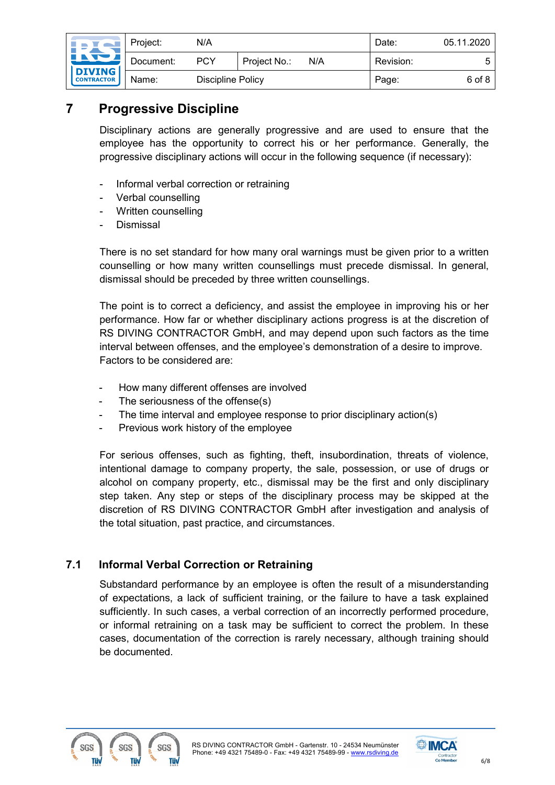| $\blacksquare$                                    | Project:  | N/A                      |              |     | Date:     | 05.11.2020 |
|---------------------------------------------------|-----------|--------------------------|--------------|-----|-----------|------------|
| <u> Lit</u><br><b>DIVING</b><br><b>CONTRACTOR</b> | Document: | <b>PCY</b>               | Project No.: | N/A | Revision: | ᄃ          |
|                                                   | Name:     | <b>Discipline Policy</b> |              |     | Page:     | 6 of 8     |

## <span id="page-5-0"></span>**7 Progressive Discipline**

Disciplinary actions are generally progressive and are used to ensure that the employee has the opportunity to correct his or her performance. Generally, the progressive disciplinary actions will occur in the following sequence (if necessary):

- Informal verbal correction or retraining
- Verbal counselling
- Written counselling
- **Dismissal**

There is no set standard for how many oral warnings must be given prior to a written counselling or how many written counsellings must precede dismissal. In general, dismissal should be preceded by three written counsellings.

The point is to correct a deficiency, and assist the employee in improving his or her performance. How far or whether disciplinary actions progress is at the discretion of RS DIVING CONTRACTOR GmbH, and may depend upon such factors as the time interval between offenses, and the employee's demonstration of a desire to improve. Factors to be considered are:

- How many different offenses are involved
- The seriousness of the offense(s)
- The time interval and employee response to prior disciplinary action(s)
- Previous work history of the employee

For serious offenses, such as fighting, theft, insubordination, threats of violence, intentional damage to company property, the sale, possession, or use of drugs or alcohol on company property, etc., dismissal may be the first and only disciplinary step taken. Any step or steps of the disciplinary process may be skipped at the discretion of RS DIVING CONTRACTOR GmbH after investigation and analysis of the total situation, past practice, and circumstances.

#### <span id="page-5-1"></span>**7.1 Informal Verbal Correction or Retraining**

Substandard performance by an employee is often the result of a misunderstanding of expectations, a lack of sufficient training, or the failure to have a task explained sufficiently. In such cases, a verbal correction of an incorrectly performed procedure, or informal retraining on a task may be sufficient to correct the problem. In these cases, documentation of the correction is rarely necessary, although training should be documented.



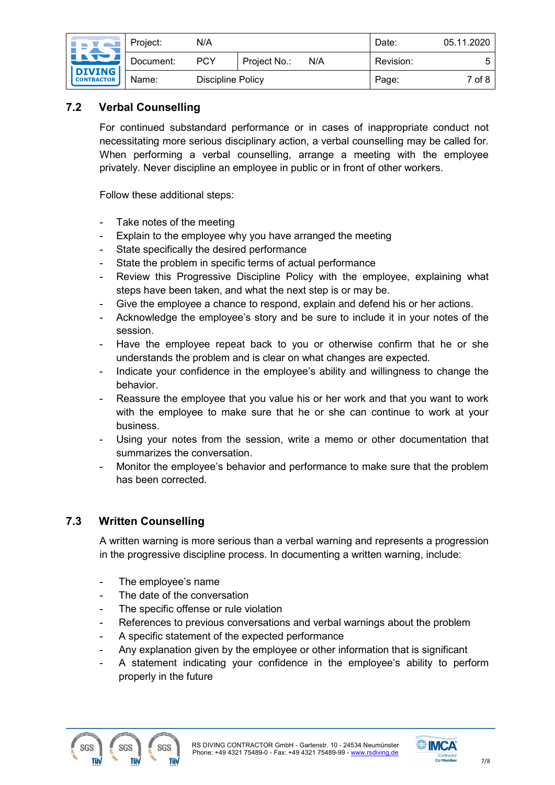| <b>In Tal</b>                                    |       | Project:          | N/A |              |       | Date:     | 05.11.2020 |
|--------------------------------------------------|-------|-------------------|-----|--------------|-------|-----------|------------|
| <u>int</u><br><b>DIVING</b><br><b>CONTRACTOR</b> |       | Document:         | PCY | Project No.: | N/A   | Revision: |            |
|                                                  | Name: | Discipline Policy |     |              | Page: | 7 of 8    |            |

#### <span id="page-6-0"></span>**7.2 Verbal Counselling**

For continued substandard performance or in cases of inappropriate conduct not necessitating more serious disciplinary action, a verbal counselling may be called for. When performing a verbal counselling, arrange a meeting with the employee privately. Never discipline an employee in public or in front of other workers.

Follow these additional steps:

- Take notes of the meeting
- Explain to the employee why you have arranged the meeting
- State specifically the desired performance
- State the problem in specific terms of actual performance
- Review this Progressive Discipline Policy with the employee, explaining what steps have been taken, and what the next step is or may be.
- Give the employee a chance to respond, explain and defend his or her actions.
- Acknowledge the employee's story and be sure to include it in your notes of the session.
- Have the employee repeat back to you or otherwise confirm that he or she understands the problem and is clear on what changes are expected.
- Indicate your confidence in the employee's ability and willingness to change the behavior.
- Reassure the employee that you value his or her work and that you want to work with the employee to make sure that he or she can continue to work at your business.
- Using your notes from the session, write a memo or other documentation that summarizes the conversation.
- Monitor the employee's behavior and performance to make sure that the problem has been corrected.

#### <span id="page-6-1"></span>**7.3 Written Counselling**

A written warning is more serious than a verbal warning and represents a progression in the progressive discipline process. In documenting a written warning, include:

- The employee's name
- The date of the conversation
- The specific offense or rule violation
- References to previous conversations and verbal warnings about the problem
- A specific statement of the expected performance
- Any explanation given by the employee or other information that is significant
- A statement indicating your confidence in the employee's ability to perform properly in the future